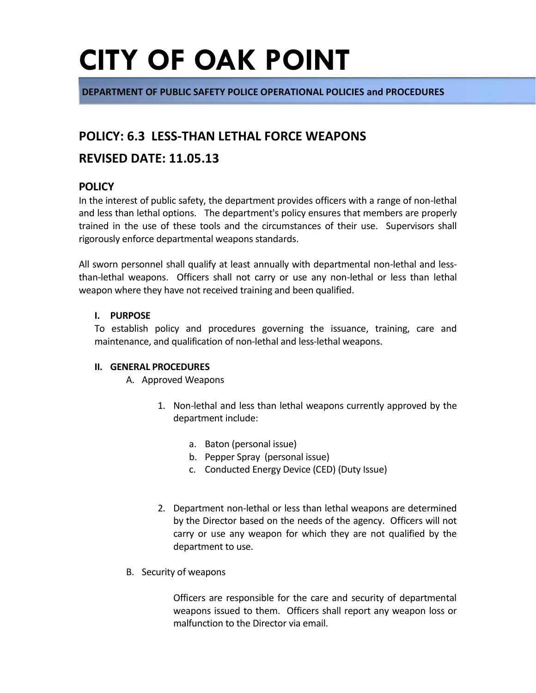**DEPARTMENT OF PUBLIC SAFETY POLICE OPERATIONAL POLICIES and PROCEDURES**

### **POLICY: 6.3 LESS-THAN LETHAL FORCE WEAPONS**

### **REVISED DATE: 11.05.13**

### **POLICY**

In the interest of public safety, the department provides officers with a range of non-lethal and less than lethal options. The department's policy ensures that members are properly trained in the use of these tools and the circumstances of their use. Supervisors shall rigorously enforce departmental weapons standards.

All sworn personnel shall qualify at least annually with departmental non-lethal and lessthan-lethal weapons. Officers shall not carry or use any non-lethal or less than lethal weapon where they have not received training and been qualified.

#### **I. PURPOSE**

To establish policy and procedures governing the issuance, training, care and maintenance, and qualification of non-lethal and less-lethal weapons.

#### **II. GENERAL PROCEDURES**

A. Approved Weapons

- 1. Non-lethal and less than lethal weapons currently approved by the department include:
	- a. Baton (personal issue)
	- b. Pepper Spray (personal issue)
	- c. Conducted Energy Device (CED) (Duty Issue)
- 2. Department non-lethal or less than lethal weapons are determined by the Director based on the needs of the agency. Officers will not carry or use any weapon for which they are not qualified by the department to use.
- B. Security of weapons

Officers are responsible for the care and security of departmental weapons issued to them. Officers shall report any weapon loss or malfunction to the Director via email.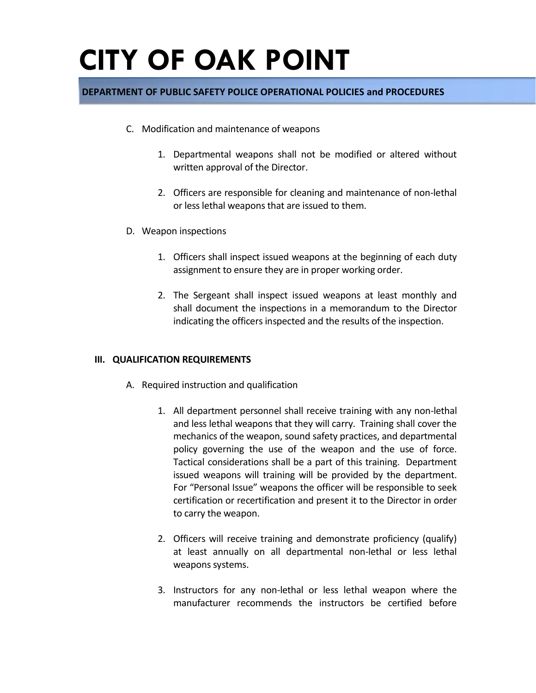#### **DEPARTMENT OF PUBLIC SAFETY POLICE OPERATIONAL POLICIES and PROCEDURES**

- C. Modification and maintenance of weapons
	- 1. Departmental weapons shall not be modified or altered without written approval of the Director.
	- 2. Officers are responsible for cleaning and maintenance of non-lethal or less lethal weapons that are issued to them.
- D. Weapon inspections
	- 1. Officers shall inspect issued weapons at the beginning of each duty assignment to ensure they are in proper working order.
	- 2. The Sergeant shall inspect issued weapons at least monthly and shall document the inspections in a memorandum to the Director indicating the officers inspected and the results of the inspection.

#### **III. QUALIFICATION REQUIREMENTS**

- A. Required instruction and qualification
	- 1. All department personnel shall receive training with any non-lethal and less lethal weapons that they will carry. Training shall cover the mechanics of the weapon, sound safety practices, and departmental policy governing the use of the weapon and the use of force. Tactical considerations shall be a part of this training. Department issued weapons will training will be provided by the department. For "Personal Issue" weapons the officer will be responsible to seek certification or recertification and present it to the Director in order to carry the weapon.
	- 2. Officers will receive training and demonstrate proficiency (qualify) at least annually on all departmental non-lethal or less lethal weapons systems.
	- 3. Instructors for any non-lethal or less lethal weapon where the manufacturer recommends the instructors be certified before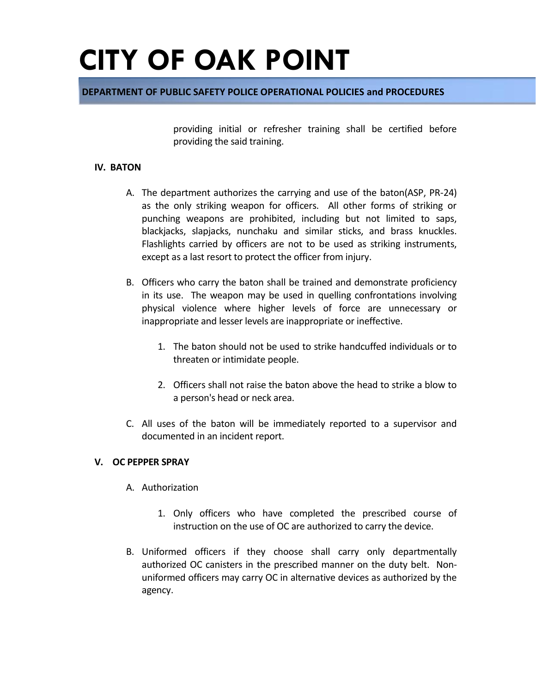#### **DEPARTMENT OF PUBLIC SAFETY POLICE OPERATIONAL POLICIES and PROCEDURES**

providing initial or refresher training shall be certified before providing the said training.

#### **IV. BATON**

- A. The department authorizes the carrying and use of the baton(ASP, PR-24) as the only striking weapon for officers. All other forms of striking or punching weapons are prohibited, including but not limited to saps, blackjacks, slapjacks, nunchaku and similar sticks, and brass knuckles. Flashlights carried by officers are not to be used as striking instruments, except as a last resort to protect the officer from injury.
- B. Officers who carry the baton shall be trained and demonstrate proficiency in its use. The weapon may be used in quelling confrontations involving physical violence where higher levels of force are unnecessary or inappropriate and lesser levels are inappropriate or ineffective.
	- 1. The baton should not be used to strike handcuffed individuals or to threaten or intimidate people.
	- 2. Officers shall not raise the baton above the head to strike a blow to a person's head or neck area.
- C. All uses of the baton will be immediately reported to a supervisor and documented in an incident report.

#### **V. OC PEPPER SPRAY**

- A. Authorization
	- 1. Only officers who have completed the prescribed course of instruction on the use of OC are authorized to carry the device.
- B. Uniformed officers if they choose shall carry only departmentally authorized OC canisters in the prescribed manner on the duty belt. Nonuniformed officers may carry OC in alternative devices as authorized by the agency.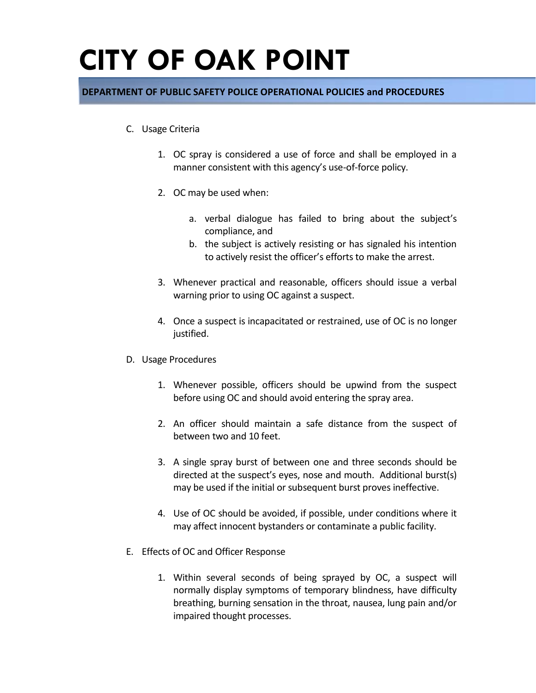#### **DEPARTMENT OF PUBLIC SAFETY POLICE OPERATIONAL POLICIES and PROCEDURES**

- C. Usage Criteria
	- 1. OC spray is considered a use of force and shall be employed in a manner consistent with this agency's use-of-force policy.
	- 2. OC may be used when:
		- a. verbal dialogue has failed to bring about the subject's compliance, and
		- b. the subject is actively resisting or has signaled his intention to actively resist the officer's efforts to make the arrest.
	- 3. Whenever practical and reasonable, officers should issue a verbal warning prior to using OC against a suspect.
	- 4. Once a suspect is incapacitated or restrained, use of OC is no longer justified.
- D. Usage Procedures
	- 1. Whenever possible, officers should be upwind from the suspect before using OC and should avoid entering the spray area.
	- 2. An officer should maintain a safe distance from the suspect of between two and 10 feet.
	- 3. A single spray burst of between one and three seconds should be directed at the suspect's eyes, nose and mouth. Additional burst(s) may be used if the initial or subsequent burst proves ineffective.
	- 4. Use of OC should be avoided, if possible, under conditions where it may affect innocent bystanders or contaminate a public facility.
- E. Effects of OC and Officer Response
	- 1. Within several seconds of being sprayed by OC, a suspect will normally display symptoms of temporary blindness, have difficulty breathing, burning sensation in the throat, nausea, lung pain and/or impaired thought processes.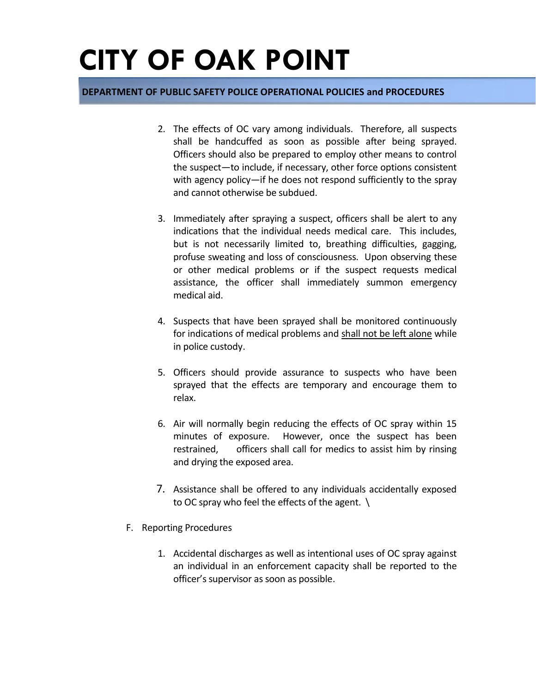#### **DEPARTMENT OF PUBLIC SAFETY POLICE OPERATIONAL POLICIES and PROCEDURES**

- 2. The effects of OC vary among individuals. Therefore, all suspects shall be handcuffed as soon as possible after being sprayed. Officers should also be prepared to employ other means to control the suspect—to include, if necessary, other force options consistent with agency policy—if he does not respond sufficiently to the spray and cannot otherwise be subdued.
- 3. Immediately after spraying a suspect, officers shall be alert to any indications that the individual needs medical care. This includes, but is not necessarily limited to, breathing difficulties, gagging, profuse sweating and loss of consciousness. Upon observing these or other medical problems or if the suspect requests medical assistance, the officer shall immediately summon emergency medical aid.
- 4. Suspects that have been sprayed shall be monitored continuously for indications of medical problems and shall not be left alone while in police custody.
- 5. Officers should provide assurance to suspects who have been sprayed that the effects are temporary and encourage them to relax.
- 6. Air will normally begin reducing the effects of OC spray within 15 minutes of exposure. However, once the suspect has been restrained, officers shall call for medics to assist him by rinsing and drying the exposed area.
- 7. Assistance shall be offered to any individuals accidentally exposed to OC spray who feel the effects of the agent. \
- F. Reporting Procedures
	- 1. Accidental discharges as well as intentional uses of OC spray against an individual in an enforcement capacity shall be reported to the officer's supervisor as soon as possible.